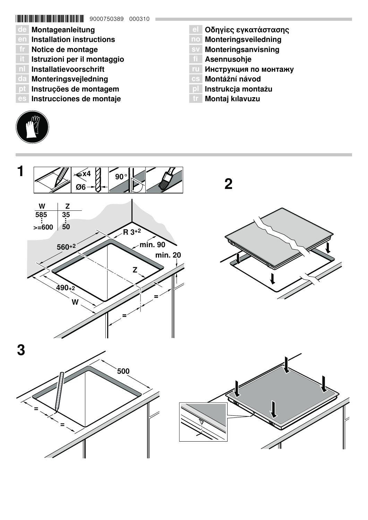# \*9000750389\* 9000750389 000310

- de Montageanleitung
- en Installation instructions
- fr Notice de montage
- it Istruzioni per il montaggio
- nl Installatievoorschrift
- da Monteringsvejledning
- pt Instruções de montagem
- es Instrucciones de montaje
- **el Οδηγίες εγκατάστασης**
- no Monteringsveiledning
- sv Monteringsanvisning
- **TI** Asennusohje
- Инструкция по монтажу
- Montážní návod
- pl Instrukcja montażu
- tr Montaj kılavuzu



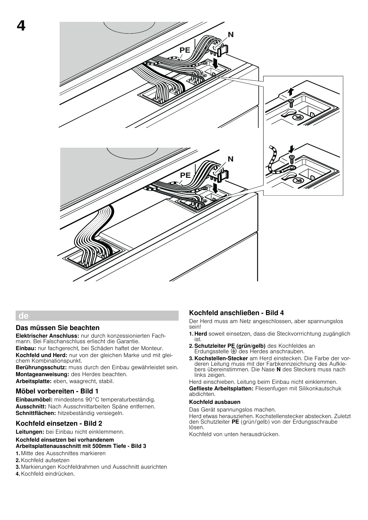

## de

4

#### Das müssen Sie beachten

Elektrischer Anschluss: nur durch konzessionierten Fachmann. Bei Falschanschluss erlischt die Garantie. Einbau: nur fachgerecht, bei Schäden haftet der Monteur. Kochfeld und Herd: nur von der gleichen Marke und mit glei-

chem Kombinationspunkt. Berührungsschutz: muss durch den Einbau gewährleistet sein. Montageanweisung: des Herdes beachten. Arbeitsplatte: eben, waagrecht, stabil.

Möbel vorbereiten - Bild 1

Einbaumöbel: mindestens 90°C temperaturbeständig. Ausschnitt: Nach Ausschnittarbeiten Späne entfernen. Schnittflächen: hitzebeständig versiegeln.

## Kochfeld einsetzen - Bild 2

Leitungen: bei Einbau nicht einklemmenn.

## Kochfeld einsetzen bei vorhandenem

## Arbeitsplattenausschnitt mit 500mm Tiefe - Bild 3

- 1. Mitte des Ausschnittes markieren
- 2.Kochfeld aufsetzen
- 3. Markierungen Kochfeldrahmen und Ausschnitt ausrichten
- 4.Kochfeld eindrücken.

## Kochfeld anschließen - Bild 4

Der Herd muss am Netz angeschlossen, aber spannungslos sein!

- 1. Herd soweit einsetzen, dass die Steckvorrrichtung zugänglich ist.
- 2. Schutzleiter PE (grün/gelb) des Kochfeldes an Erdungsstelle  $\bigoplus$  des Herdes anschrauben.
- 3. Kochstellen-Stecker am Herd einstecken. Die Farbe der vorderen Leitung muss mit der Farbkennzeichnung des Aufklebers übereinstimmen. Die Nase N des Steckers muss nach links zeigen.

Herd einschieben. Leitung beim Einbau nicht einklemmen. Geflieste Arbeitsplatten: Fliesenfugen mit Silikonkautschuk abdichten.

#### Kochfeld ausbauen

Das Gerät spannungslos machen.

Herd etwas herausziehen. Kochstellenstecker abstecken. Zuletzt den Schutzleiter PE (grün/gelb) von der Erdungsschraube lösen.

Kochfeld von unten herausdrücken.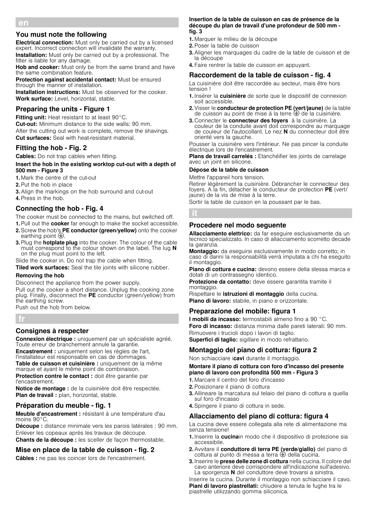#### en

## You must note the following

**Electrical connection:** Must only be carried out by a licensed expert. Incorrect connection will invalidate the warranty.

**Installation:** Must only be carried out by a professional. The fitter is liable for any damage.

Hob and cooker: Must only be from the same brand and have the same combination feature.

**Protection against accidental contact:** Must be ensured through the manner of installation.

**Installation instructions:** Must be observed for the cooker. Work surface: Level, horizontal, stable.

# Preparing the units - Figure 1

Fitting unit: Heat resistant to at least 90°C. **Cut-out:** Minimum distance to the side walls: 90 mm. After the cutting out work is complete, remove the shavings. **Cut surfaces:** Seal with heat-resistant material.

# Fitting the hob - Fig. 2

Cables: Do not trap cables when fitting.

#### Insert the hob in the existing worktop cut-out with a depth of 500 mm - Figure 3

1. Mark the centre of the cut-out

- 2.Put the hob in place
- 3.Align the markings on the hob surround and cut-out
- 4.Press in the hob.

# Connecting the hob - Fig. 4

The cooker must be connected to the mains, but switched off.

- 1. Pull out the cooker far enough to make the socket accessible. 2. Screw the hob's PE conductor (green/yellow) onto the cooker
- earthing point  $\bigoplus$ . 3. Plug the **hotplate plug** into the cooker. The colour of the cable must correspond to the colour shown on the label. The lug N on the plug must point to the left.

Slide the cooker in. Do not trap the cable when fitting.

Tiled work surfaces: Seal the tile joints with silicone rubber.

## Removing the hob

Disconnect the appliance from the power supply.

Pull out the cooker a short distance. Unplug the cooking zone plug. Finally, disconnect the PE conductor (green/yellow) from the earthing screw.

Push out the hob from below.

fr

## Consignes à respecter

Connexion électrique : uniquement par un spécialiste agréé. Toute erreur de branchement annule la garantie.

Encastrement : uniquement selon les règles de l'art, l'installateur est responsable en cas de dommages. Table de cuisson et cuisinière : uniquement de la même marque et ayant le même point de combinaison. Protection contre le contact : doit être garantie par l'encastrement.

Notice de montage : de la cuisinière doit être respectée. Plan de travail : plan, horizontal, stable.

## Préparation du meuble - fig. 1

Meuble d'encastrement : résistant à une température d'au moins 90°C.

Découpe : distance minimale vers les parois latérales : 90 mm. Enlever les copeaux après les travaux de découpe. Chants de la découpe : les sceller de façon thermostable.

# Mise en place de la table de cuisson - fig. 2

Câbles : ne pas les coincer lors de l'encastrement.

#### Insertion de la table de cuisson en cas de présence de la découpe du plan de travail d'une profondeur de 500 mm fig. 3

- 1. Marquer le milieu de la découpe
- 2.Poser la table de cuisson
- 3.Aligner les marquages du cadre de la table de cuisson et de la découpe
- 4. Faire rentrer la table de cuisson en appuyant.

# Raccordement de la table de cuisson - fig. 4

La cuisinière doit être raccordée au secteur, mais être hors tension !

- 1. Insérer la cuisinière de sorte que le dispositif de connexion soit accessible.
- 2. Visser le conducteur de protection PE (vert/jaune) de la table de cuisson au point de mise à la terre  $\oplus$  de la cuisinière.
- 3. Connecter le connecteur des foyers à la cuisinière. La couleur de la conduite avant doit correspondre au marquage de couleur de l'autocollant. Le nez N du connecteur doit être orienté vers la gauche.

Pousser la cuisinière vers l'intérieur. Ne pas pincer la conduite électrique lors de l'encastrement.

Plans de travail carrelés : Etanchéifier les joints de carrelage avec un joint en silicone.

## Dépose de la table de cuisson

Mettre l'appareil hors tension.

Retirer légèrement la cuisinière. Débrancher le connecteur des foyers. A la fin, détacher le conducteur de protection PE (vert/ jaune) de la vis de mise à la terre.

Sortir la table de cuisson en la poussant par le bas.

## Procedere nel modo seguente

Allacciamento elettrico: da far eseguire esclusivamente da un tecnico specializzato. In caso di allacciamento scorretto decade la garanzia.

Montaggio: da eseguirsi esclusivamente in modo corretto; in caso di danni la responsabilità verrà imputata a chi ha eseguito il montaggio.

Piano di cottura e cucina: devono essere della stessa marca e dotati di un contrassegno identico.

Protezione da contatto: deve essere garantita tramite il montaggio.

Rispettare le *istruzioni di montaggio* della cucina. Piano di lavoro: stabile, in piano e orizzontale.

# Preparazione del mobile: figura 1

I mobili da incasso: termostabili almeno fino a 90 °C. Foro di incasso: distanza minima dalle pareti laterali: 90 mm. Rimuovere i trucioli dopo i lavori di taglio. Superfici di taglio: sigillare in modo refrattario.

# Montaggio del piano di cottura: figura 2

Non schiacciare icavi durante il montaggio.

#### Montare il piano di cottura con foro d'incasso del presente piano di lavoro con profondità 500 mm - Figura 3

- 1. Marcare il centro del foro d'incasso
- 2.Posizionare il piano di cottura
- 3.Allineare la marcatura sul telaio del piano di cottura a quella sul foro d'incasso
- 4.Spingere il piano di cottura in sede.

# Allacciamento del piano di cottura: figura 4

La cucina deve essere collegata alla rete di alimentazione ma senza tensione!

- 1. Inserire la cucinain modo che il dispositivo di protezione sia accessibile.
- 2.Avvitare il conduttore di terra PE (verde/giallo) del piano di cottura al punto di messa a terra  $\bigoplus$  della cucina.
- 3. Inserire le prese delle zone di cottura nella cucina. Il colore del cavo anteriore deve corrispondere all'indicazione sull'adesivo. La sporgenza N del conduttore deve trovarsi a sinistra.

Inserire la cucina. Durante il montaggio non schiacciare il cavo. Piani di lavoro piastrellati: chiudere a tenuta le fughe tra le piastrelle utilizzando gomma siliconica.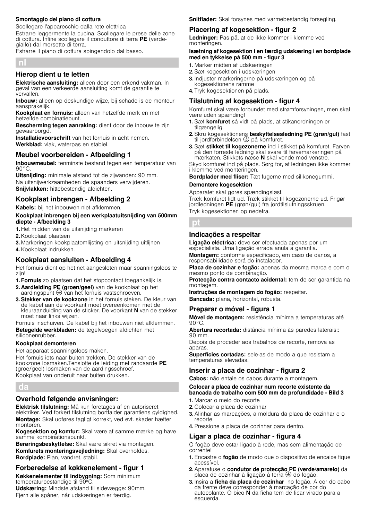#### Smontaggio del piano di cottura

Scollegare l'apparecchio dalla rete elettrica Estrarre leggermente la cucina. Scollegare le prese delle zone di cottura. Infine scollegare il conduttore di terra PE (verdegiallo) dal morsetto di terra.

Estrarre il piano di cottura spingendolo dal basso.

#### nl

## Hierop dient u te letten

Elektrische aansluiting: alleen door een erkend vakman. In geval van een verkeerde aansluiting komt de garantie te vervallen.

Inbouw: alleen op deskundige wijze, bij schade is de monteur aansprakelijk.

Kookplaat en fornuis: alleen van hetzelfde merk en met hetzelfde combinatiepunt.

Bescherming tegen aanraking: dient door de inbouw te zijn gewaarborgd.

Installatievoorschrift van het fornuis in acht nemen. Werkblad: vlak, waterpas en stabiel.

## Meubel voorbereiden - Afbeelding 1

Inbouwmeubel: tenminste bestand tegen een temperatuur van  $90^{\circ}$ C.

Uitsnijding: minimale afstand tot de zijwanden: 90 mm. Na uitsnijwerkzaamheden de spaanders verwijderen. Snijvlakken: hittebestendig afdichten.

## Kookplaat inbrengen - Afbeelding 2

Kabels: bij het inbouwen niet afklemmen.

#### Kookplaat inbrengen bij een werkplaatuitsnijding van 500mm diepte - Afbeelding 3

- 1. Het midden van de uitsnijding markeren
- 2.Kookplaat plaatsen
- 3. Markeringen kookplaatomliisting en uitsnijding uitlijnen
- 4.Kookplaat indrukken.

## Kookplaat aansluiten - Afbeelding 4

Het fornuis dient op het net aangesloten maar spanningsloos te zijn!

- 1. Fornuis zo plaatsen dat het stopcontact toegankelijk is.
- 2. Aardleiding PE (groen/geel) van de kookplaat op het aardingspunt  $\bigoplus$  van het fornuis vastschroeven.
- 3. Stekker van de kookzone in het fornuis steken. De kleur van de kabel aan de voorkant moet overeenkomen met de kleuraanduiding van de sticker. De voorkant N van de stekker moet naar links wijzen.

Fornuis inschuiven. De kabel bij het inbouwen niet afklemmen. Betegelde werkbladen: de tegelvoegen afdichten met siliconenrubber.

## Kookplaat demonteren

Het apparaat spanningsloos maken.

Het fornuis iets naar buiten trekken. De stekker van de kookzone losmaken.Tenslotte de leiding met randaarde PE (groe/geel) losmaken van de aardingsschroef. Kookplaat van onderuit naar buiten drukken.

## da

## Overhold følgende anvisninger:

Elektrisk tilslutning: Må kun foretages af en autoriseret elektriker. Ved forkert tilslutning bortfalder garantiens gyldighed. Montage: Skal udføres fagligt korrekt, ved evt. skader hæfter montøren.

Kogesektion og komfur: Skal være af samme mærke og have samme kombinationspunkt.

Berøringsbeskyttelse: Skal være sikret via montagen. Komfurets monteringsvejledning: Skal overholdes. Bordplade: Plan, vandret, stabil.

## Forberedelse af køkkenelement - figur 1

Køkkenelementer til indbygning: Som minimum temperaturbestandige til 90ºC.

Udskæring: Mindste afstand til sidevægge: 90mm. Fjern alle spåner, når udskæringen er færdig.

Snitflader: Skal forsynes med varmebestandig forsegling.

## Placering af kogesektion - figur 2

Ledninger: Pas på, at de ikke kommer i klemme ved monteringen.

#### Isætning af kogesektion i en færdig udskæring i en bordplade med en tykkelse på 500 mm - figur 3

- 1. Marker midten af udskæringen
- 2.Sæt kogesektion i udskæringen
- 3. Indjuster markeringerne på udskæringen og på kogesektionens ramme
- 4. Tryk kogesektionen på plads.

#### Tilslutning af kogesektion - figur 4

Komfuret skal være forbundet med strømforsyningen, men skal være uden spænding!

- 1. Sæt komfuret så vidt på plads, at stikanordningen er tilgængelig.
- 2. Skru kogesektionens beskyttelsesledning PE (grøn/gul) fast til jordforbindelsen  $\oplus$  på komfuret.
- 3. Sæt stikket til kogezonerne ind i stikket på komfuret. Farven på den forreste ledning skal svare til farvemarkeringen på mærkaten. Stikkets næse N skal vende mod venstre.

Skyd komfuret ind på plads. Sørg for, at ledningen ikke kommer i klemme ved monteringen.

Bordplader med fliser: Tæt fugerne med silikonegummi.

#### Demontere kogesektion

Apparatet skal gøres spændingsløst. Træk komfuret lidt ud. Træk stikket til kogezonerne ud. Frigør jordledningen PE (grøn/gul) fra jordtilslutningsskruen.

Tryk kogesektionen op nedefra.

## pt

## Indicações a respeitar

Ligação eléctrica: deve ser efectuada apenas por um especialista. Uma ligação errada anula a garantia.

Montagem: conforme especificado, em caso de danos, a responsabilidade será do instalador.

Placa de cozinhar e fogão: apenas da mesma marca e com o mesmo ponto de combinação.

Protecção contra contacto acidental: tem de ser garantida na montagem.

Instruções de montagem do fogão: respeitar.

Bancada: plana, horizontal, robusta.

## Preparar o móvel - figura 1

Móvel de montagem: resistência mínima a temperaturas até 90°C.

Abertura recortada: distância mínima às paredes laterais:: 90 mm.

Depois de proceder aos trabalhos de recorte, remova as aparas.

Superfícies cortadas: sele-as de modo a que resistam a temperaturas elevadas.

## Inserir a placa de cozinhar - figura 2

Cabos: não entale os cabos durante a montagem.

Colocar a placa de cozinhar num recorte existente da bancada de trabalho com 500 mm de profundidade - Bild 3

- 1. Marcar o meio do recorte
- 2. Colocar a placa de cozinhar
- 3.Alinhar as marcações, a moldura da placa de cozinhar e o recorte
- 4.Pressione a placa de cozinhar para dentro.

## Ligar a placa de cozinhar - figura 4

O fogão deve estar ligado à rede, mas sem alimentação de corrente!

- 1. Encastre o fogão de modo que o dispositivo de encaixe fique acessível.
- 2.Aparafuse o condutor de protecção PE (verde/amarelo) da placa de cozinhar à ligação à terra  $\bigoplus$  do fogão.
- 3. Insira a ficha da placa de cozinhar no fogão. A cor do cabo da frente deve corresponder à marcação de cor do autocolante. O bico N da ficha tem de ficar virado para a esquerda.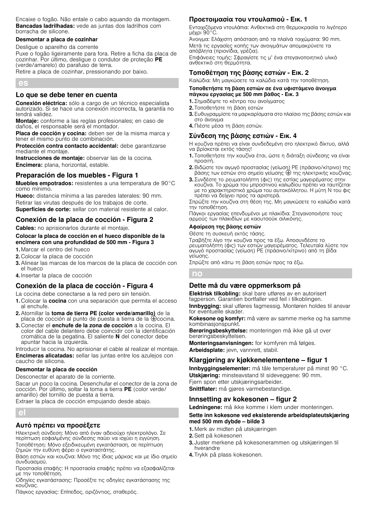Encaixe o fogão. Não entale o cabo aquando da montagem. Bancadas ladrilhadas: vede as juntas dos ladrilhos com borracha de silicone.

#### Desmontar a placa de cozinhar

Desligue o aparelho da corrente

Puxe o fogão ligeiramente para fora. Retire a ficha da placa de cozinhar. Por último, desligue o condutor de proteção PE (verde/amarelo) do parafuso de terra.

Retire a placa de cozinhar, pressionando por baixo.

#### Lo que se debe tener en cuenta

Conexión eléctrica: sólo a cargo de un técnico especialista autorizado. Si se hace una conexión incorrecta, la garantía no tendrá validez.

Montaje: conforme a las reglas profesionales; en caso de daños, el responsable será el montador.

Placa de cocción y cocina: deben ser de la misma marca y tener el mismo punto de combinación.

Protección contra contacto accidental: debe garantizarse mediante el montaje.

Instrucciones de montaje: observar las de la cocina. Encimera: plana, horizontal, estable.

## Preparación de los muebles - Figura 1

Muebles empotrados: resistentes a una temperatura de 90°C como mínimo.

Hueco: distancia mínima a las paredes laterales: 90 mm. Retirar las virutas después de los trabajos de corte. Superficies de corte: sellar con material resistente al calor.

## Conexión de la placa de cocción - Figura 2

Cables: no aprisionarlos durante el montaje.

#### Colocar la placa de cocción en el hueco disponible de la encimera con una profundidad de 500 mm - Figura 3

- 1. Marcar el centro del hueco
- 2. Colocar la placa de cocción
- 3.Alinear las marcas de los marcos de la placa de cocción con el hueco
- 4. Insertar la placa de cocción

## Conexión de la placa de cocción - Figura 4

La cocina debe conectarse a la red pero sin tensión.

- 1. Colocar la cocina con una separación que permita el acceso al enchufe.
- 2. Atornillar la toma de tierra PE (color verde/amarillo) de la placa de cocción al punto de puesta a tierra de la  $\bigoplus$ cocina.
- 3. Conectar el enchufe de la zona de cocción a la cocina. El color del cable delantero debe coincidir con la identificación cromática de la pegatina. El saliente N del conector debe apuntar hacia la izquierda.

Introducir la cocina. No aprisionar el cable al realizar el montaje. Encimeras alicatadas: sellar las juntas entre los azulejos con caucho de silicona.

#### Desmontar la placa de cocción

Desconectar el aparato de la corriente.

Sacar un poco la cocina. Desenchufar el conector de la zona de cocción. Por último, soltar la toma a tierra PE (color verde/ amarillo) del tornillo de puesta a tierra.

Extraer la placa de cocción empujando desde abajo.

el

#### Αυτό πρέπει να προσέξετε

Ηλεκτρική σύνδεση: Μόνο από έναν αδειούχο ηλεκτρολόγο. Σε περίπτωση εσφαλμένης σύνδεσης παύει να ισχύει η εγγύηση. Τοποθέτηση: Μόνο εξειδικευμένη εγκατάσταση, σε περίπτωση ζημιών την ευθύνη φέρει ο εγκαταστάτης.

Βάση εστιών και κουζίνα: Μόνο της ίδιας μάρκας και με ίδιο σημείο συνδυασμού.

Προστασία επαφής: Η προστασία επαφής πρέπει να εξασφαλίζεται με την τοποθέτηση.

Οδηγίες εγκατάστασης: Προσέξτε τις οδηγίες εγκατάστασης της κουζίνας.

Πάγκος εργασίας: Επίπεδος, οριζόντιος, σταθερός.

## Προετοιμασία του ντουλαπιού - Εικ. 1

Εντοιχιζόμενα ντουλάπια: Ανθεκτικά στη θερμοκρασία το λιγότερο μέχρι 90°C.

Άνοιγμα: Ελάχιστη απόσταση από τα πλαϊνά τοιχώματα: 90 mm. Μετά τις εργασίες κοπής των ανοιγμάτων απομακρύνετε τα απόβλητα (πριονίδια, γρέζια).

Επιφάνειες τομής: Σφραγίστε τις μ' ένα στεγανοποιητικό υλικό ανθεκτικό στη θερμότητα.

## Τοποθέτηση της βάσης εστιών - Εικ. 2

Καλώδια: Μη μαγκώσετε τα καλώδια κατά την τοποθέτηση.

#### Τοποθετήστε τη βάση εστιών σε ένα υφιστάμενο άνοιγμα πάγκου εργασίας με 500 mm βάθος - Εικ. 3

- 1. Σημαδέψτε το κέντρο του ανοίγματος
- 2. Τοποθετήστε τη βάση εστιών
- 3. Ευθυγραμμίστε τα μαρκαρίσματα στο πλαίσιο της βάσης εστιών και στο άνοιγμα
- 4. Πιέστε μέσα τη βάση εστιών.

## Σύνδεση της βάσης εστιών - Εικ. 4

Η κουζίνα πρέπει να είναι συνδεδεμένη στο ηλεκτρικό δίκτυο, αλλά να βρίσκεται εκτός τάσης!

- 1. Τοποθετήστε την κουζίνα έτσι, ώστε η διάταξη σύνδεσης να είναι προσιτή.
- 2.Βιδώστε τον αγωγό προστασίας (γείωση) PE (πράσινο/κίτρινο) της βάσης των εστιών στο σημείο γείωσης  $\oplus$  της ηλεκτρικής κουζίνας.
- 3. Συνδέστε το ρευματολήπτη (φις) της εστίας μαγειρέματος στην κουζίνα. Το χρώμα του μπροστινού καλωδίου πρέπει να ταυτίζεται με το χαρακτηριστικό χρώμα του αυτοκόλλητου. Η μύτη N του φις πρέπει να δείχνει προς τα αριστερά.

Σπρώξτε την κουζίνα στη θέση της. Μη μαγκώσετε το καλώδιο κατά την τοποθέτηση.

Πάγκοι εργασίας επενδυμένοι με πλακίδια: Στεγανοποιήστε τους αρμούς των πλακιδίων με καουτσούκ σιλικόνης.

#### Αφαίρεση της βάσης εστιών

Θέστε τη συσκευή εκτός τάσης.

Τραβήξτε λίγο την κουζίνα προς τα έξω. Αποσυνδέστε το ρευματολήπτη (φις) των εστιών μαγειρέματος. Τελευταία λύστε τον αγωγό προστασίας (γείωση) PE (πράσινο/κίτρινο) από τη βίδα γείωσης.

Σπρώξτε από κάτω τη βάση εστιών προς τα έξω.

no

## Dette må du være oppmerksom på

Elektrisk tilkobling: skal bare utføres av en autorisert fagperson. Garantien bortfaller ved feil i tilkoblingen. Innbygging: skal utføres fagmessig. Montøren holdes til ansvar for eventuelle skader.

Kokesone og komfyr: må være av samme merke og ha samme kombinasjonspunkt.

Berøringsbeskyttelse: monteringen må ikke gå ut over berøringsbeskyttelsen.

Monteringsanvisningen: for komfyren må følges.

Arbeidsplate: jevn, vannrett, stabil.

## Klargjøring av kjøkkenelementene – figur 1

Innbyggingselementer: må tåle temperaturer på minst 90 °C. Utskjæring: minsteavstand til sideveggene: 90 mm. Fjern spon etter utskjæringsarbeider. Snittflater: må gjøres varmebestandige.

#### Innsetting av kokesonen – figur 2

Ledningene: må ikke komme i klem under monteringen.

#### Sette inn kokesone ved eksisterende arbeidsplateutskjæring med 500 mm dybde – bilde 3

- 1. Merk av midten på utskjæringen
- 2.Sett på kokesonen
- 3. Juster merkene på kokesonerammen og utskjæringen til hverandre
- 4. Trykk på plass kokesonen.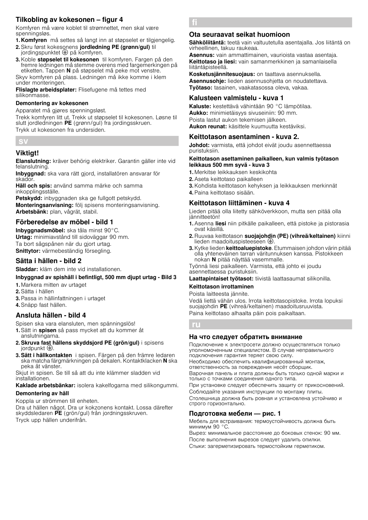# Tilkobling av kokesonen – figur 4

Komfyren må være koblet til strømnettet, men skal være spenningsløs.

- 1. Komfyren må settes så langt inn at støpselet er tilgjengelig. 2. Skru først kokesonens jordledning PE (grønn/gul) til
- jordingspunktet  $\oplus$  på komfyren.
- 3. Koble støpselet til kokesonen til komfyren. Fargen på den fremre ledningen må stemme overens med fargemerkingen på etiketten. Tappen N på støpselet må peke mot venstre. Skyv komfyren på plass. Ledningen må ikke komme i klem under monteringen.

Flislagte arbeidsplater: Flisefugene må tettes med silikonmasse.

#### Demontering av kokesonen

Apparatet må gjøres spenningsløst.

Trekk komfyren litt ut. Trekk ut støpselet til kokesonen. Løsne til slutt jordledningen PE (grønn/gul) fra jordingsskruen. Trykk ut kokesonen fra undersiden.

# sv

## Viktigt!

Elanslutning: kräver behörig elektriker. Garantin gäller inte vid felanslutning.

Inbyggnad: ska vara rätt gjord, installatören ansvarar för skador.

Häll och spis: använd samma märke och samma inkopplingsställe.

Petskydd: inbyggnaden ska ge fullgott petskydd. Monteringsanvisning: följ spisens monteringsanvisning. Arbetsbänk: plan, vågrät, stabil.

## Förberedelse av möbel - bild 1

Inbyggnadsmöbel: ska tåla minst 90°C. Urtag: minimiavstånd till sidoväggar 90 mm. Ta bort sågspånen när du gjort urtag. Snittytor: värmebeständig försegling.

## Sätta i hällen - bild 2

Sladdar: kläm dem inte vid installationen.

## Inbyggnad av spishäll i befintligt, 500 mm djupt urtag - Bild 3

1. Markera mitten av urtaget

- 2.Sätta i hällen
- 3.Passa in hällinfattningen i urtaget
- 4.Snäpp fast hällen.

## Ansluta hällen - bild 4

Spisen ska vara elansluten, men spänningslös!

1. Sätt in spisen så pass mycket att du kommer åt

- anslutningarna. 2.Skruva fast hällens skyddsjord PE (grön/gul) i spisens jordpunkt $\bigoplus$ .
- 3. Sätt i hällkontakten i spisen. Färgen på den främre ledaren ska matcha färgmärkningen på dekalen. Kontaktklacken N ska peka åt vänster.

Skjut in spisen. Se till så att du inte klämmer sladden vid installationen.

Kaklade arbetsbänkar: isolera kakelfogarna med silikongummi. Demontering av häll

## Koppla ur strömmen till enheten.

Dra ut hällen något. Dra ur kokzonens kontakt. Lossa därefter skyddsledaren PE (grön/gul) från jordningsskruven. Tryck upp hällen underifrån.

fi

## Ota seuraavat seikat huomioon

Sähköliitäntä: teetä vain valtuutetulla asentajalla. Jos liitäntä on virheellinen, takuu raukeaa.

Asennus: vain ammattimainen, vaurioista vastaa asentaja. Keittotaso ja liesi: vain samanmerkkinen ja samanlaisella liitäntäpisteellä.

Kosketusjännitesuojaus: on taattava asennuksella. Asennusohje: lieden asennusohjetta on noudatettava. Työtaso: tasainen, vaakatasossa oleva, vakaa.

## Kalusteen valmistelu - kuva 1

Kaluste: kestettävä vähintään 90 °C lämpötilaa. Aukko: minimietäisyys sivuseiniin: 90 mm. Poista lastut aukon tekemisen jälkeen. Aukon reunat: käsittele kuumuutta kestäviksi.

## Keittotason asentaminen - kuva 2.

Johdot: varmista, että johdot eivät joudu asennettaessa puristuksiin.

#### Keittotason asettaminen paikalleen, kun valmis työtason leikkaus 500 mm syvä - kuva 3

- 1. Merkitse leikkauksen keskikohta
- 2.Aseta keittotaso paikalleen
- 3.Kohdista keittotason kehyksen ja leikkauksen merkinnät
- 4.Paina keittotaso sisään.

## Keittotason liittäminen - kuva 4

Lieden pitää olla liitetty sähköverkkoon, mutta sen pitää olla jännitteetön!

- 1. Asenna liesi niin pitkälle paikalleen, että pistoke ja pistorasia ovat käsillä.
- 2. Ruuvaa keittotason suojajohdin (PE) (vihreä/keltainen) kiinni lieden maadoituspisteeseen  $\oplus$
- 3. Kytke lieden keittoaluepistoke. Etummaisen johdon värin pitää olla yhteneväinen tarran väritunnuksen kanssa. Pistokkeen nokan N pitää näyttää vasemmalle.
- Työnnä liesi paikalleen. Varmista, että johto ei joudu asennettaessa puristuksiin.

Laattapintaiset työtasot: tiivistä laattasaumat silikonilla.

#### Keittotason irrottaminen

Poista laitteesta jännite. Vedä liettä vähän ulos. Irrota keittotasopistoke. Irrota lopuksi suojajohdin PE (vihreä/keltainen) maadoitusruuvista. Paina keittotaso alhaalta päin pois paikaltaan.

ru

## На что следует обратить внимание

Подключение к электросети должно осуществляться только уполномоченным специалистом. В случае неправильного подключения гарантия теряет свою силу.

Необходимо обеспечить квалифицированный монтаж, ответственность за повреждения несёт сборщик.

Варочная панель и плита должны быть только одной марки и только с точками соединения одного типа.

При установке следует обеспечить защиту от прикосновений. Соблюдайте указания инструкции по монтажу плиты.

Столешница должна быть ровная и установлена устойчиво и строго горизонтально.

## Подготовка мебели — рис. 1

Мебель для встраивания: термоустойчивость должна быть минимум 90 °C.

Вырез: минимальное расстояние до боковых стенок: 90 мм. После выполнения вырезов следует удалить опилки. Стыки: загерметизировать термостойким герметиком.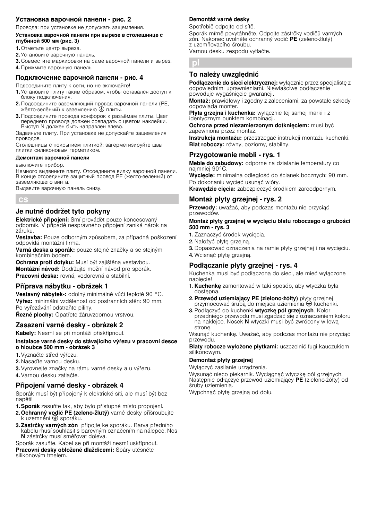## Установка варочной панели - рис. 2

Провода: при установке не допускать защемления.

#### Установка варочной панели при вырезе в столешнице с глубиной 500 мм (рис. 3)

- 1. Отметьте центр выреза.
- 2. Установите варочную панель.
- 3. Совместите маркировки на раме варочной панели и вырез.
- 4. Прижмите варочную панель.

#### Подключение варочной панели - рис. 4

Подсоедините плиту к сети, но не включайте!

- 1. Установите плиту таким образом, чтобы оставался доступ к блоку подключения.
- 2. Подсоедините заземляющий провод варочной панели (PE, жёлто-зелёный) к заземлению  $\bigoplus$  плиты.
- 3. Подсоедините провода конфорок к разъёмам плиты. Цвет переднего провода должен совпадать <sup>с</sup> цветом наклейки. Выступ N должен быть направлен влево.

Задвиньте плиту. При установке не допускайте защемления проводов.

Столешницы с покрытием плиткой: загерметизируйте швы плитки силиконовым герметиком.

#### Демонтаж варочной панели

выключите прибор.

Немного выдвиньте плиту. Отсоедините вилку варочной панели.<br>В конце отсоедините защитный провод PE (желто-зеленый) от заземляющего винта.

Выдавите варочную панель снизу.

cs

## Je nutné dodržet tyto pokyny

Elektrické připojení: Smí provádět pouze koncesovaný odborník. V případě nesprávného připojení zaniká nárok na záruku.

Vestavba: Pouze odborným způsobem, za případná poškození odpovídá montážní firma.

Varná deska a sporák: pouze stejné značky a se stejným kombinačním bodem.

Ochrana proti dotyku: Musí být zajištěna vestavbou. Montážní návod: Dodržujte možní návod pro sporák. Pracovní deska: rovná, vodorovná a stabilní.

## Příprava nábytku - obrázek 1

Vestavný nábytek-: odolný minimálně vůči teplotě 90 °C. Výřez: minimální vzdálenost od postranních stěn: 90 mm. Po vyřezávání odstraňte piliny.

Řezné plochy: Opatřete žáruvzdornou vrstvou.

## Zasazení varné desky - obrázek 2

Kabely: Nesmí se při montáži přiskřípnout.

Instalace varné desky do stávajícího výřezu v pracovní desce o hloubce 500 mm - obrázek 3

- 1.Vyznačte střed výřezu.
- 2. Nasaďte varnou desku.
- 3.Vyrovnejte značky na rámu varné desky a u výřezu.
- 4.Varnou desku zatlačte.

## Připojení varné desky - obrázek 4

Sporák musí být připojený k elektrické síti, ale musí být bez napětí!

- 1. Sporák zasuňte tak, aby bylo přístupné místo propojení.
- 2. Ochranný vodič PE (zeleno-žlutý) varné desky přišroubujte k uzemnění  $\oplus$  sporáku.
- 3. Zástrčky varných zón připojte ke sporáku. Barva předního kabelu musí souhlasit s barevným označením na nálepce. Nos N zástrčky musí směřovat doleva.

Sporák zasuňte. Kabel se při montáži nesmí uskřípnout. Pracovní desky obložené dlaždicemi: Spáry utěsněte silikonovým tmelem.

## Demontáž varné desky

pl

Spotřebič odpojte od sítě. Sporák mírně povytáhněte. Odpojte zástrčky vodičů varných zón. Nakonec uvolněte ochranný vodič PE (zeleno-žlutý) z uzemňovacího šroubu. Varnou desku zespodu vytlačte.

# To należy uwzględnić

Podłączenie do sieci elektrycznej: wyłącznie przez specjalistę z odpowiednimi uprawnieniami. Niewłaściwe podłączenie powoduje wygaśnięcie gwarancji.

Montaż: prawidłowy i zgodny z zaleceniami, za powstałe szkody odpowiada monter.

Płyta grzejna i kuchenka: wyłącznie tej samej marki i z identycznym punktem kombinacji.

Ochrona przed niezamierzonym dotknięciem: musi być zapewniona przez montaż.

Instrukcja montażu: przestrzegać instrukcji montażu kuchenki. Blat roboczy: równy, poziomy, stabilny.

## Przygotowanie mebli - rys. 1

Meble do zabudowy: odporne na działanie temperatury co najmniej 90°C.

Wyciecie: minimalna odległość do ścianek bocznych: 90 mm. Po dokonaniu wycięć usunąć wióry.

Krawędzie cięcia: zabezpieczyć środkiem żaroodpornym.

## Montaż płyty grzejnej - rys. 2

Przewody: uważać, aby podczas montażu nie przyciąć przewodów.

#### Montaż płyty grzejnej w wycięciu blatu roboczego o grubości 500 mm - rys. 3

1. Zaznaczyć środek wycięcia.

- 2. Nałożyć płytę grzejną.
- 3. Dopasować oznaczenia na ramie płyty grzejnej i na wycięciu.
- 4. Wcisnąć płyte grzejną.

## Podłączanie płyty grzejnej - rys. 4

Kuchenka musi być podłączona do sieci, ale mieć wyłączone napięcie!

- 1. Kuchenkę zamontować w taki sposób, aby wtyczka była dostępna.
- 2. Przewód uziemiający PE (zielono-żółty) płyty grzejnej przymocować śrubą do miejsca uziemienia ⊕ kuchenki.
- 3. Podłączyć do kuchenki wtyczkę pól grzejnych. Kolor przedniego przewodu musi zgadzać się z oznaczeniem koloru na naklejce. Nosek N wtyczki musi być zwrócony w lewą stronę.

Wsunąć kuchenkę. Uważać, aby podczas montażu nie przyciąć przewodu.

Blaty robocze wyłożone płytkami: uszczelnić fugi kauczukiem silikonowym.

#### Demontaż płyty grzejnej

Wyłączyć zasilanie urządzenia.

Wysunąć nieco piekarnik. Wyciągnąć wtyczkę pól grzejnych. Następnie odłączyć przewód uziemiający PE (zielono-żółty) od śruby uziemienia.

Wypchnąć płytę grzejną od dołu.